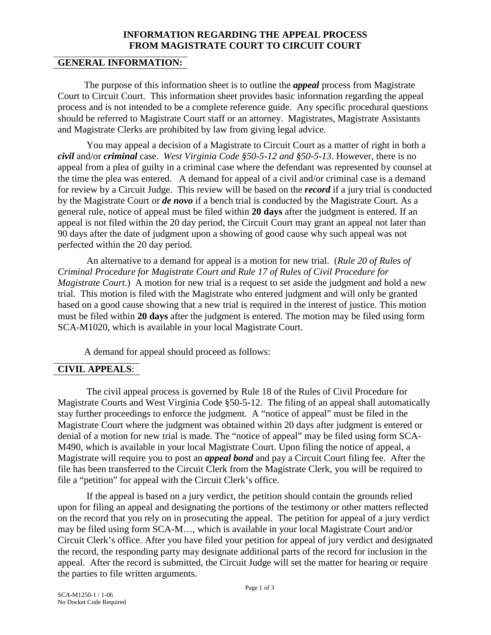# **INFORMATION REGARDING THE APPEAL PROCESS FROM MAGISTRATE COURT TO CIRCUIT COURT**

# **GENERAL INFORMATION:**

 The purpose of this information sheet is to outline the *appeal* process from Magistrate Court to Circuit Court. This information sheet provides basic information regarding the appeal process and is not intended to be a complete reference guide. Any specific procedural questions should be referred to Magistrate Court staff or an attorney. Magistrates, Magistrate Assistants and Magistrate Clerks are prohibited by law from giving legal advice.

You may appeal a decision of a Magistrate to Circuit Court as a matter of right in both a *civil* and/or *criminal* case. *West Virginia Code §50-5-12 and §50-5-13*. However, there is no appeal from a plea of guilty in a criminal case where the defendant was represented by counsel at the time the plea was entered. A demand for appeal of a civil and/or criminal case is a demand for review by a Circuit Judge. This review will be based on the *record* if a jury trial is conducted by the Magistrate Court or *de novo* if a bench trial is conducted by the Magistrate Court. As a general rule, notice of appeal must be filed within **20 days** after the judgment is entered. If an appeal is not filed within the 20 day period, the Circuit Court may grant an appeal not later than 90 days after the date of judgment upon a showing of good cause why such appeal was not perfected within the 20 day period.

An alternative to a demand for appeal is a motion for new trial. (*Rule 20 of Rules of Criminal Procedure for Magistrate Court and Rule 17 of Rules of Civil Procedure for Magistrate Court.*) A motion for new trial is a request to set aside the judgment and hold a new trial. This motion is filed with the Magistrate who entered judgment and will only be granted based on a good cause showing that a new trial is required in the interest of justice. This motion must be filed within **20 days** after the judgment is entered. The motion may be filed using form SCA-M1020, which is available in your local Magistrate Court.

A demand for appeal should proceed as follows:

# **CIVIL APPEALS**:

The civil appeal process is governed by Rule 18 of the Rules of Civil Procedure for Magistrate Courts and West Virginia Code §50-5-12. The filing of an appeal shall automatically stay further proceedings to enforce the judgment. A "notice of appeal" must be filed in the Magistrate Court where the judgment was obtained within 20 days after judgment is entered or denial of a motion for new trial is made. The "notice of appeal" may be filed using form SCA-M490, which is available in your local Magistrate Court. Upon filing the notice of appeal, a Magistrate will require you to post an *appeal bond* and pay a Circuit Court filing fee. After the file has been transferred to the Circuit Clerk from the Magistrate Clerk, you will be required to file a "petition" for appeal with the Circuit Clerk's office.

If the appeal is based on a jury verdict, the petition should contain the grounds relied upon for filing an appeal and designating the portions of the testimony or other matters reflected on the record that you rely on in prosecuting the appeal. The petition for appeal of a jury verdict may be filed using form SCA-M…, which is available in your local Magistrate Court and/or Circuit Clerk's office. After you have filed your petition for appeal of jury verdict and designated the record, the responding party may designate additional parts of the record for inclusion in the appeal. After the record is submitted, the Circuit Judge will set the matter for hearing or require the parties to file written arguments.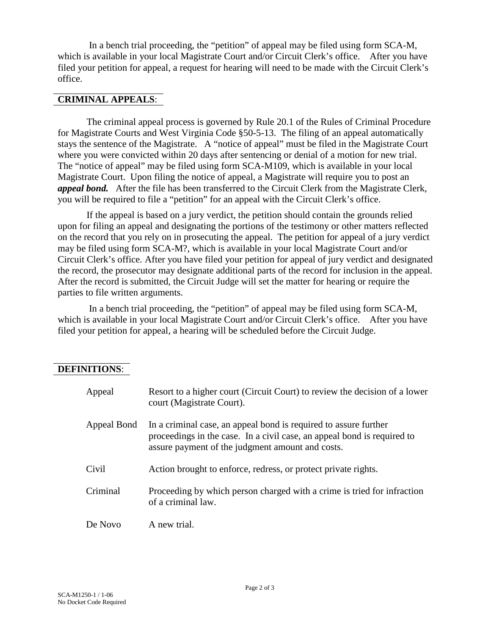In a bench trial proceeding, the "petition" of appeal may be filed using form SCA-M, which is available in your local Magistrate Court and/or Circuit Clerk's office. After you have filed your petition for appeal, a request for hearing will need to be made with the Circuit Clerk's office.

#### **CRIMINAL APPEALS**:

The criminal appeal process is governed by Rule 20.1 of the Rules of Criminal Procedure for Magistrate Courts and West Virginia Code §50-5-13. The filing of an appeal automatically stays the sentence of the Magistrate. A "notice of appeal" must be filed in the Magistrate Court where you were convicted within 20 days after sentencing or denial of a motion for new trial. The "notice of appeal" may be filed using form SCA-M109, which is available in your local Magistrate Court. Upon filing the notice of appeal, a Magistrate will require you to post an *appeal bond.* After the file has been transferred to the Circuit Clerk from the Magistrate Clerk, you will be required to file a "petition" for an appeal with the Circuit Clerk's office.

If the appeal is based on a jury verdict, the petition should contain the grounds relied upon for filing an appeal and designating the portions of the testimony or other matters reflected on the record that you rely on in prosecuting the appeal. The petition for appeal of a jury verdict may be filed using form SCA-M?, which is available in your local Magistrate Court and/or Circuit Clerk's office. After you have filed your petition for appeal of jury verdict and designated the record, the prosecutor may designate additional parts of the record for inclusion in the appeal. After the record is submitted, the Circuit Judge will set the matter for hearing or require the parties to file written arguments.

In a bench trial proceeding, the "petition" of appeal may be filed using form SCA-M, which is available in your local Magistrate Court and/or Circuit Clerk's office. After you have filed your petition for appeal, a hearing will be scheduled before the Circuit Judge.

### **DEFINITIONS**:

| Appeal      | Resort to a higher court (Circuit Court) to review the decision of a lower<br>court (Magistrate Court).                                                                                         |
|-------------|-------------------------------------------------------------------------------------------------------------------------------------------------------------------------------------------------|
| Appeal Bond | In a criminal case, an appeal bond is required to assure further<br>proceedings in the case. In a civil case, an appeal bond is required to<br>assure payment of the judgment amount and costs. |
| Civil       | Action brought to enforce, redress, or protect private rights.                                                                                                                                  |
| Criminal    | Proceeding by which person charged with a crime is tried for infraction<br>of a criminal law.                                                                                                   |
| De Novo     | A new trial.                                                                                                                                                                                    |